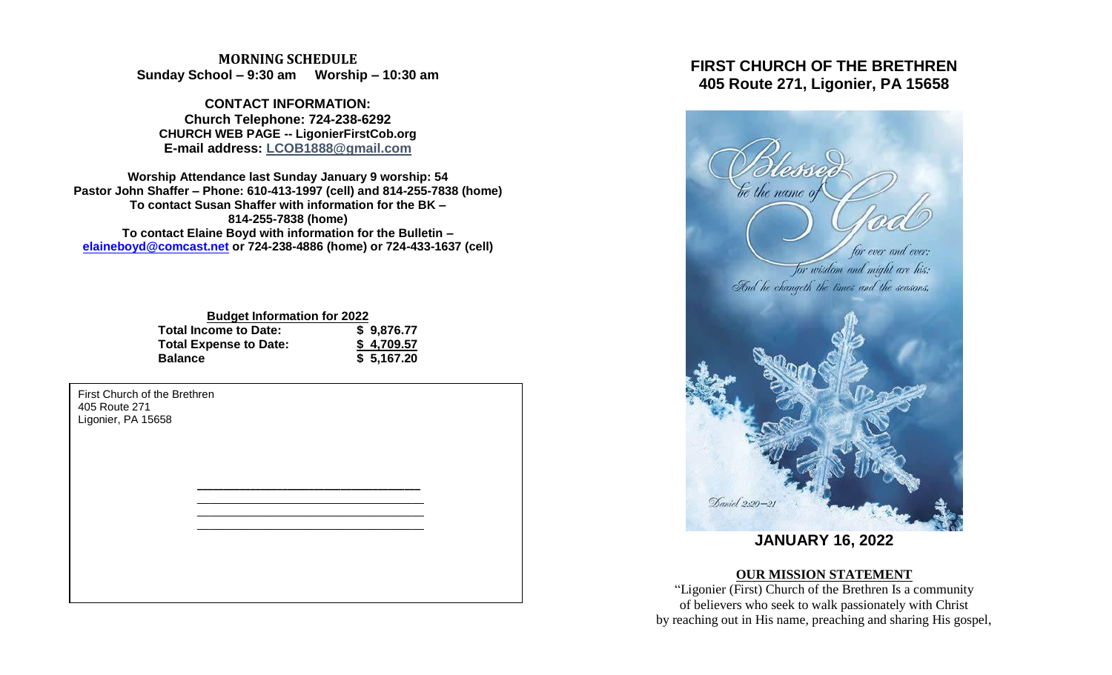### **MORNING SCHEDULE Sunday School – 9:30 am Worship – 10:30 am**

**CONTACT INFORMATION: Church Telephone: 724-238-6292 CHURCH WEB PAGE -- LigonierFirstCob.org E-mail address: LCOB1888@gmail.com**

**Worship Attendance last Sunday January 9 worship: 54 Pastor John Shaffer – Phone: 610-413-1997 (cell) and 814-255-7838 (home) To contact Susan Shaffer with information for the BK – 814-255-7838 (home) To contact Elaine Boyd with information for the Bulletin – [elaineboyd@comcast.net](mailto:elaineboyd@comcast.net) or 724-238-4886 (home) or 724-433-1637 (cell)**

| <b>Budget Information for 2022</b> |            |
|------------------------------------|------------|
| Total Income to Date:              | \$9,876.77 |
| <b>Total Expense to Date:</b>      | \$4,709.57 |
| <b>Balance</b>                     | \$5,167.20 |

**\_\_\_\_\_\_\_\_\_\_\_\_\_\_\_\_\_\_\_\_\_\_\_\_\_\_\_\_\_\_\_\_\_\_\_\_\_\_\_\_\_\_** \_\_\_\_\_\_\_\_\_\_\_\_\_\_\_\_\_\_\_\_\_\_\_\_\_\_\_\_\_\_\_\_\_\_\_\_\_ \_\_\_\_\_\_\_\_\_\_\_\_\_\_\_\_\_\_\_\_\_\_\_\_\_\_\_\_\_\_\_\_\_\_\_\_\_ \_\_\_\_\_\_\_\_\_\_\_\_\_\_\_\_\_\_\_\_\_\_\_\_\_\_\_\_\_\_\_\_\_\_\_\_\_

First Church of the Brethren 405 Route 271 Ligonier, PA 15658

# **FIRST CHURCH OF THE BRETHREN 405 Route 271, Ligonier, PA 15658**



**JANUARY 16, 2022**

## **OUR MISSION STATEMENT**

"Ligonier (First) Church of the Brethren Is a community of believers who seek to walk passionately with Christ by reaching out in His name, preaching and sharing His gospel,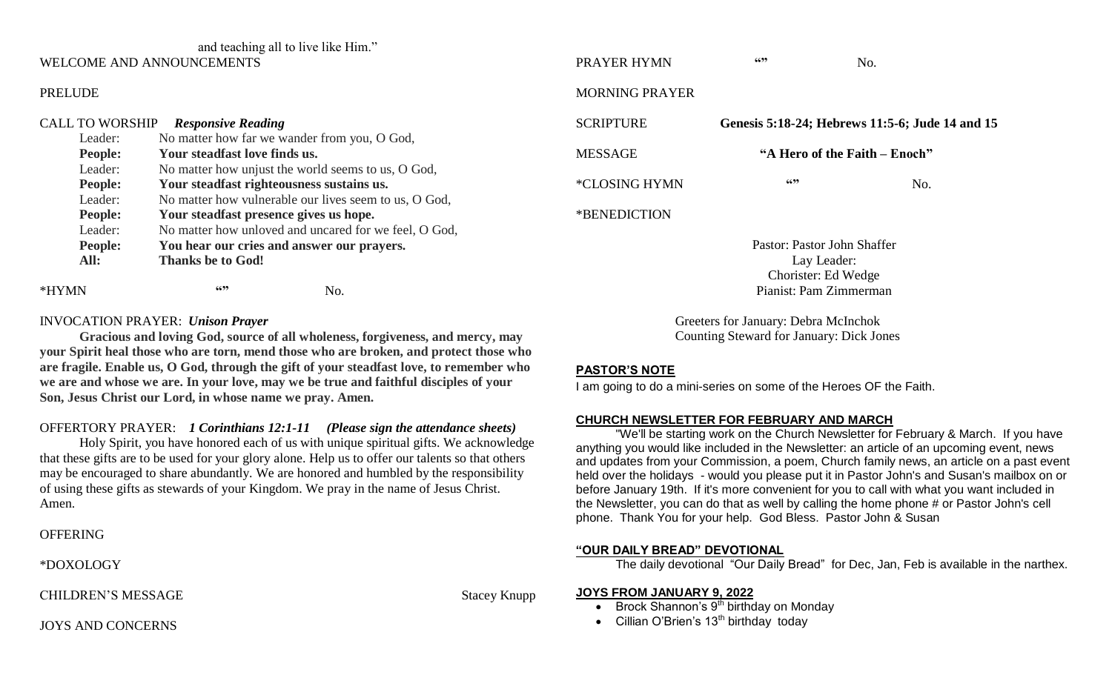# and teaching all to live like Him."

#### WELCOME AND ANNOUNCEMENTS

### PRELUDE

| <b>CALL TO WORSHIP</b> | <b>Responsive Reading</b>                             |  |  |
|------------------------|-------------------------------------------------------|--|--|
| Leader:                | No matter how far we wander from you, O God,          |  |  |
| People:                | Your steadfast love finds us.                         |  |  |
| Leader:                | No matter how unjust the world seems to us, O God,    |  |  |
| People:                | Your steadfast righteousness sustains us.             |  |  |
| Leader:                | No matter how vulnerable our lives seem to us, O God, |  |  |
| People:                | Your steadfast presence gives us hope.                |  |  |
| Leader:                | No matter how unloved and uncared for we feel, O God, |  |  |
| People:                | You hear our cries and answer our prayers.            |  |  |
| All:                   | <b>Thanks be to God!</b>                              |  |  |
|                        | 6699<br>Nο.                                           |  |  |

#### INVOCATION PRAYER: *Unison Prayer*

**Gracious and loving God, source of all wholeness, forgiveness, and mercy, may your Spirit heal those who are torn, mend those who are broken, and protect those who are fragile. Enable us, O God, through the gift of your steadfast love, to remember who we are and whose we are. In your love, may we be true and faithful disciples of your Son, Jesus Christ our Lord, in whose name we pray. Amen.**

### OFFERTORY PRAYER: *1 Corinthians 12:1-11 (Please sign the attendance sheets)*

Holy Spirit, you have honored each of us with unique spiritual gifts. We acknowledge that these gifts are to be used for your glory alone. Help us to offer our talents so that others may be encouraged to share abundantly. We are honored and humbled by the responsibility of using these gifts as stewards of your Kingdom. We pray in the name of Jesus Christ. Amen.

### **OFFERING**

\*DOXOLOGY

CHILDREN'S MESSAGE Stacey Knupp

| PRAYER HYMN                 | 6699                          | No.                                             |  |
|-----------------------------|-------------------------------|-------------------------------------------------|--|
| MORNING PRAYER              |                               |                                                 |  |
| <b>SCRIPTURE</b>            |                               | Genesis 5:18-24; Hebrews 11:5-6; Jude 14 and 15 |  |
| <b>MESSAGE</b>              | "A Hero of the Faith – Enoch" |                                                 |  |
| <i><b>*CLOSING HYMN</b></i> | 6699                          | No.                                             |  |
| *BENEDICTION                |                               |                                                 |  |
|                             |                               |                                                 |  |

Pastor: Pastor John Shaffer Lay Leader: Chorister: Ed Wedge Pianist: Pam Zimmerman

Greeters for January: Debra McInchok Counting Steward for January: Dick Jones

#### **PASTOR'S NOTE**

I am going to do a mini-series on some of the Heroes OF the Faith.

#### **CHURCH NEWSLETTER FOR FEBRUARY AND MARCH**

"We'll be starting work on the Church Newsletter for February & March. If you have anything you would like included in the Newsletter: an article of an upcoming event, news and updates from your Commission, a poem, Church family news, an article on a past event held over the holidays - would you please put it in Pastor John's and Susan's mailbox on or before January 19th. If it's more convenient for you to call with what you want included in the Newsletter, you can do that as well by calling the home phone # or Pastor John's cell phone. Thank You for your help. God Bless. Pastor John & Susan

### **"OUR DAILY BREAD" DEVOTIONAL**

The daily devotional "Our Daily Bread" for Dec, Jan, Feb is available in the narthex.

#### **JOYS FROM JANUARY 9, 2022**

- $\bullet$  Brock Shannon's  $9<sup>th</sup>$  birthday on Monday
- Cillian O'Brien's  $13<sup>th</sup>$  birthday today

JOYS AND CONCERNS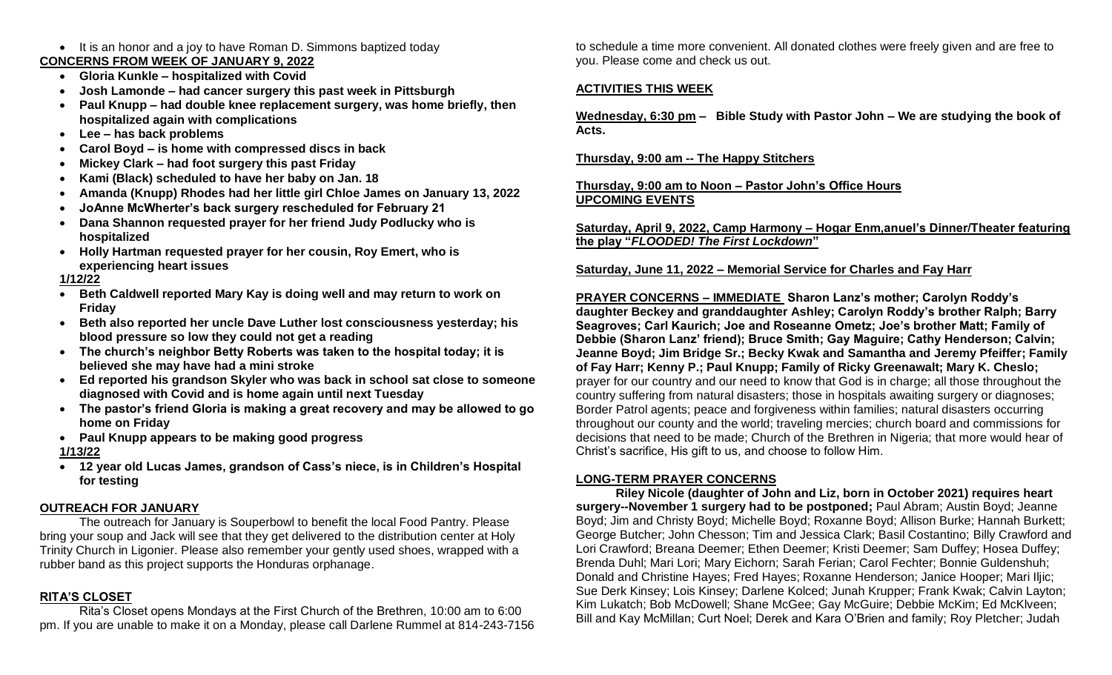#### • It is an honor and a joy to have Roman D. Simmons baptized today **CONCERNS FROM WEEK OF JANUARY 9, 2022**

- **Gloria Kunkle – hospitalized with Covid**
- **Josh Lamonde – had cancer surgery this past week in Pittsburgh**
- **Paul Knupp – had double knee replacement surgery, was home briefly, then hospitalized again with complications**
- **Lee – has back problems**
- **Carol Boyd – is home with compressed discs in back**
- **Mickey Clark – had foot surgery this past Friday**
- **Kami (Black) scheduled to have her baby on Jan. 18**
- **Amanda (Knupp) Rhodes had her little girl Chloe James on January 13, 2022**
- **JoAnne McWherter's back surgery rescheduled for February 21**
- **Dana Shannon requested prayer for her friend Judy Podlucky who is hospitalized**
- **Holly Hartman requested prayer for her cousin, Roy Emert, who is experiencing heart issues**

## **1/12/22**

- **Beth Caldwell reported Mary Kay is doing well and may return to work on Friday**
- **Beth also reported her uncle Dave Luther lost consciousness yesterday; his blood pressure so low they could not get a reading**
- **The church's neighbor Betty Roberts was taken to the hospital today; it is believed she may have had a mini stroke**
- **Ed reported his grandson Skyler who was back in school sat close to someone diagnosed with Covid and is home again until next Tuesday**
- **The pastor's friend Gloria is making a great recovery and may be allowed to go home on Friday**
- **Paul Knupp appears to be making good progress**

## **1/13/22**

 **12 year old Lucas James, grandson of Cass's niece, is in Children's Hospital for testing**

## **OUTREACH FOR JANUARY**

The outreach for January is Souperbowl to benefit the local Food Pantry. Please bring your soup and Jack will see that they get delivered to the distribution center at Holy Trinity Church in Ligonier. Please also remember your gently used shoes, wrapped with a rubber band as this project supports the Honduras orphanage.

## **RITA'S CLOSET**

Rita's Closet opens Mondays at the First Church of the Brethren, 10:00 am to 6:00 pm. If you are unable to make it on a Monday, please call Darlene Rummel at 814-243-7156

to schedule a time more convenient. All donated clothes were freely given and are free to you. Please come and check us out.

## **ACTIVITIES THIS WEEK**

**Wednesday, 6:30 pm – Bible Study with Pastor John – We are studying the book of Acts.**

### **Thursday, 9:00 am -- The Happy Stitchers**

### **Thursday, 9:00 am to Noon – Pastor John's Office Hours UPCOMING EVENTS**

**Saturday, April 9, 2022, Camp Harmony – Hogar Enm,anuel's Dinner/Theater featuring the play "***FLOODED! The First Lockdown***"**

## **Saturday, June 11, 2022 – Memorial Service for Charles and Fay Harr**

**PRAYER CONCERNS – IMMEDIATE Sharon Lanz's mother; Carolyn Roddy's daughter Beckey and granddaughter Ashley; Carolyn Roddy's brother Ralph; Barry Seagroves; Carl Kaurich; Joe and Roseanne Ometz; Joe's brother Matt; Family of Debbie (Sharon Lanz' friend); Bruce Smith; Gay Maguire; Cathy Henderson; Calvin; Jeanne Boyd; Jim Bridge Sr.; Becky Kwak and Samantha and Jeremy Pfeiffer; Family of Fay Harr; Kenny P.; Paul Knupp; Family of Ricky Greenawalt; Mary K. Cheslo;**  prayer for our country and our need to know that God is in charge; all those throughout the country suffering from natural disasters; those in hospitals awaiting surgery or diagnoses; Border Patrol agents; peace and forgiveness within families; natural disasters occurring throughout our county and the world; traveling mercies; church board and commissions for decisions that need to be made; Church of the Brethren in Nigeria; that more would hear of Christ's sacrifice, His gift to us, and choose to follow Him.

## **LONG-TERM PRAYER CONCERNS**

**Riley Nicole (daughter of John and Liz, born in October 2021) requires heart surgery--November 1 surgery had to be postponed;** Paul Abram; Austin Boyd; Jeanne Boyd; Jim and Christy Boyd; Michelle Boyd; Roxanne Boyd; Allison Burke; Hannah Burkett; George Butcher; John Chesson; Tim and Jessica Clark; Basil Costantino; Billy Crawford and Lori Crawford; Breana Deemer; Ethen Deemer; Kristi Deemer; Sam Duffey; Hosea Duffey; Brenda Duhl; Mari Lori; Mary Eichorn; Sarah Ferian; Carol Fechter; Bonnie Guldenshuh; Donald and Christine Hayes; Fred Hayes; Roxanne Henderson; Janice Hooper; Mari Iljic; Sue Derk Kinsey; Lois Kinsey; Darlene Kolced; Junah Krupper; Frank Kwak; Calvin Layton; Kim Lukatch; Bob McDowell; Shane McGee; Gay McGuire; Debbie McKim; Ed McKlveen; Bill and Kay McMillan; Curt Noel; Derek and Kara O'Brien and family; Roy Pletcher; Judah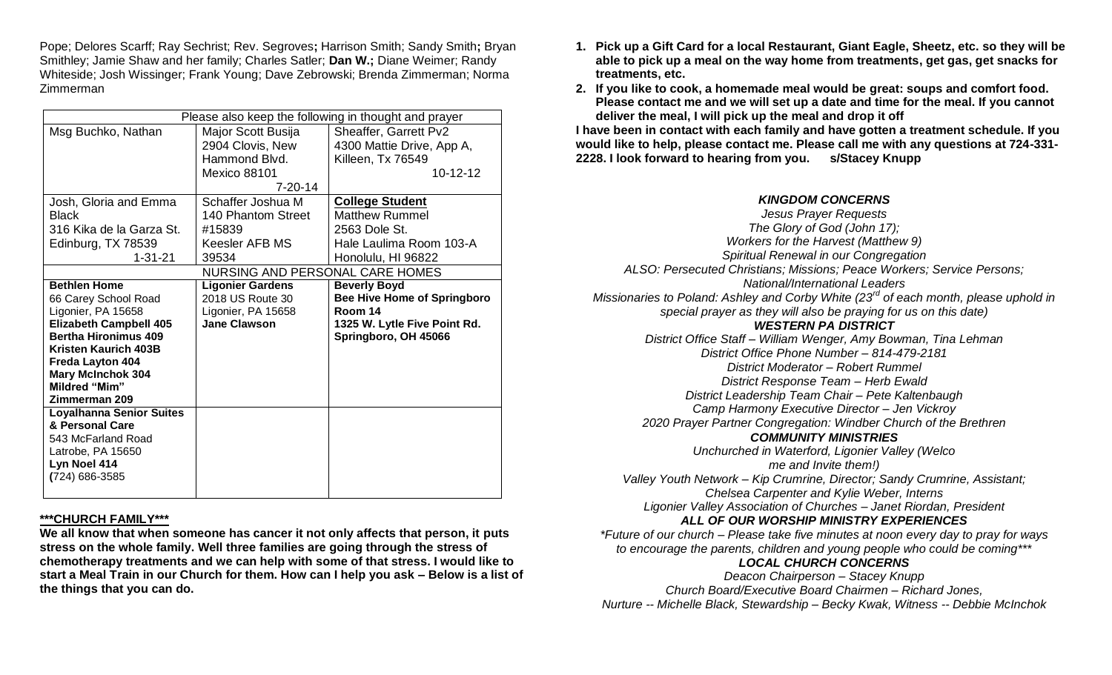Pope; Delores Scarff; Ray Sechrist; Rev. Segroves**;** Harrison Smith; Sandy Smith**;** Bryan Smithley; Jamie Shaw and her family; Charles Satler; **Dan W.;** Diane Weimer; Randy Whiteside; Josh Wissinger; Frank Young; Dave Zebrowski; Brenda Zimmerman; Norma Zimmerman

| Please also keep the following in thought and prayer |                         |                                    |  |  |
|------------------------------------------------------|-------------------------|------------------------------------|--|--|
| Msg Buchko, Nathan                                   | Major Scott Busija      | Sheaffer, Garrett Pv2              |  |  |
|                                                      | 2904 Clovis, New        | 4300 Mattie Drive, App A,          |  |  |
|                                                      | Hammond Blvd.           | Killeen, Tx 76549                  |  |  |
|                                                      | Mexico 88101            | $10 - 12 - 12$                     |  |  |
|                                                      | $7 - 20 - 14$           |                                    |  |  |
| Josh, Gloria and Emma                                | Schaffer Joshua M       | <b>College Student</b>             |  |  |
| <b>Black</b>                                         | 140 Phantom Street      | Matthew Rummel                     |  |  |
| 316 Kika de la Garza St.                             | #15839                  | 2563 Dole St.                      |  |  |
| Edinburg, TX 78539                                   | Keesler AFB MS          | Hale Laulima Room 103-A            |  |  |
| $1 - 31 - 21$                                        | 39534                   | Honolulu, HI 96822                 |  |  |
| NURSING AND PERSONAL CARE HOMES                      |                         |                                    |  |  |
| <b>Bethlen Home</b>                                  | <b>Ligonier Gardens</b> | <b>Beverly Boyd</b>                |  |  |
| 66 Carey School Road                                 | 2018 US Route 30        | <b>Bee Hive Home of Springboro</b> |  |  |
| Ligonier, PA 15658                                   | Ligonier, PA 15658      | Room 14                            |  |  |
| <b>Elizabeth Campbell 405</b>                        | <b>Jane Clawson</b>     | 1325 W. Lytle Five Point Rd.       |  |  |
| <b>Bertha Hironimus 409</b>                          |                         | Springboro, OH 45066               |  |  |
| <b>Kristen Kaurich 403B</b>                          |                         |                                    |  |  |
| Freda Layton 404<br><b>Mary McInchok 304</b>         |                         |                                    |  |  |
| <b>Mildred "Mim"</b>                                 |                         |                                    |  |  |
| Zimmerman 209                                        |                         |                                    |  |  |
| <b>Loyalhanna Senior Suites</b>                      |                         |                                    |  |  |
| & Personal Care                                      |                         |                                    |  |  |
| 543 McFarland Road                                   |                         |                                    |  |  |
| Latrobe, PA 15650                                    |                         |                                    |  |  |
| Lyn Noel 414                                         |                         |                                    |  |  |
| (724) 686-3585                                       |                         |                                    |  |  |
|                                                      |                         |                                    |  |  |

#### **\*\*\*CHURCH FAMILY\*\*\***

**We all know that when someone has cancer it not only affects that person, it puts stress on the whole family. Well three families are going through the stress of chemotherapy treatments and we can help with some of that stress. I would like to start a Meal Train in our Church for them. How can I help you ask – Below is a list of the things that you can do.**

- **1. Pick up a Gift Card for a local Restaurant, Giant Eagle, Sheetz, etc. so they will be able to pick up a meal on the way home from treatments, get gas, get snacks for treatments, etc.**
- **2. If you like to cook, a homemade meal would be great: soups and comfort food. Please contact me and we will set up a date and time for the meal. If you cannot deliver the meal, I will pick up the meal and drop it off**

**I have been in contact with each family and have gotten a treatment schedule. If you would like to help, please contact me. Please call me with any questions at 724-331- 2228. I look forward to hearing from you. s/Stacey Knupp**

### *KINGDOM CONCERNS*

*Jesus Prayer Requests The Glory of God (John 17); Workers for the Harvest (Matthew 9) Spiritual Renewal in our Congregation ALSO: Persecuted Christians; Missions; Peace Workers; Service Persons; National/International Leaders Missionaries to Poland: Ashley and Corby White (23rd of each month, please uphold in special prayer as they will also be praying for us on this date) WESTERN PA DISTRICT District Office Staff – William Wenger, Amy Bowman, Tina Lehman District Office Phone Number – 814-479-2181 District Moderator – Robert Rummel District Response Team – Herb Ewald District Leadership Team Chair – Pete Kaltenbaugh Camp Harmony Executive Director – Jen Vickroy 2020 Prayer Partner Congregation: Windber Church of the Brethren COMMUNITY MINISTRIES Unchurched in Waterford, Ligonier Valley (Welco me and Invite them!) Valley Youth Network – Kip Crumrine, Director; Sandy Crumrine, Assistant; Chelsea Carpenter and Kylie Weber, Interns Ligonier Valley Association of Churches – Janet Riordan, President ALL OF OUR WORSHIP MINISTRY EXPERIENCES \*Future of our church – Please take five minutes at noon every day to pray for ways to encourage the parents, children and young people who could be coming\*\*\* LOCAL CHURCH CONCERNS Deacon Chairperson – Stacey Knupp Church Board/Executive Board Chairmen – Richard Jones,*

*Nurture -- Michelle Black, Stewardship – Becky Kwak, Witness -- Debbie McInchok*